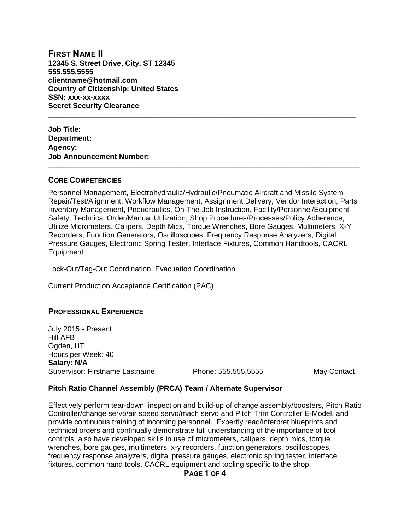**FIRST NAME II 12345 S. Street Drive, City, ST 12345 555.555.5555 clientname@hotmail.com Country of Citizenship: United States SSN: xxx-xx-xxxx Secret Security Clearance**

**Job Title: Department: Agency: Job Announcement Number:** 

### **CORE COMPETENCIES**

Personnel Management, Electrohydraulic/Hydraulic/Pneumatic Aircraft and Missile System Repair/Test/Alignment, Workflow Management, Assignment Delivery, Vendor Interaction, Parts Inventory Management, Pneudraulics, On-The-Job Instruction, Facility/Personnel/Equipment Safety, Technical Order/Manual Utilization, Shop Procedures/Processes/Policy Adherence, Utilize Micrometers, Calipers, Depth Mics, Torque Wrenches, Bore Gauges, Multimeters, X-Y Recorders, Function Generators, Oscilloscopes, Frequency Response Analyzers, Digital Pressure Gauges, Electronic Spring Tester, Interface Fixtures, Common Handtools, CACRL Equipment

**\_\_\_\_\_\_\_\_\_\_\_\_\_\_\_\_\_\_\_\_\_\_\_\_\_\_\_\_\_\_\_\_\_\_\_\_\_\_\_\_\_\_\_\_\_\_\_\_\_\_\_\_\_\_\_\_\_\_\_\_\_\_\_\_\_\_\_\_\_\_\_\_\_\_\_\_**

**\_\_\_\_\_\_\_\_\_\_\_\_\_\_\_\_\_\_\_\_\_\_\_\_\_\_\_\_\_\_\_\_\_\_\_\_\_\_\_\_\_\_\_\_\_\_\_\_\_\_\_\_\_\_\_\_\_\_\_\_\_\_\_\_\_\_\_\_\_\_\_\_\_\_\_**

Lock-Out/Tag-Out Coordination, Evacuation Coordination

Current Production Acceptance Certification (PAC)

# **PROFESSIONAL EXPERIENCE**

July 2015 - Present Hill AFB Ogden, UT Hours per Week: 40 **Salary: N/A** Supervisor: Firstname Lastname **Phone: 555.555.5555** May Contact

### **Pitch Ratio Channel Assembly (PRCA) Team / Alternate Supervisor**

Effectively perform tear-down, inspection and build-up of change assembly/boosters, Pitch Ratio Controller/change servo/air speed servo/mach servo and Pitch Trim Controller E-Model, and provide continuous training of incoming personnel. Expertly read/interpret blueprints and technical orders and continually demonstrate full understanding of the importance of tool controls; also have developed skills in use of micrometers, calipers, depth mics, torque wrenches, bore gauges, multimeters, x-y recorders, function generators, oscilloscopes, frequency response analyzers, digital pressure gauges, electronic spring tester, interface fixtures, common hand tools, CACRL equipment and tooling specific to the shop.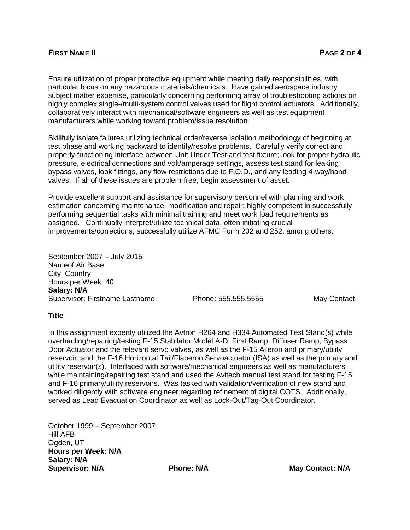Ensure utilization of proper protective equipment while meeting daily responsibilities, with particular focus on any hazardous materials/chemicals. Have gained aerospace industry subject matter expertise, particularly concerning performing array of troubleshooting actions on highly complex single-/multi-system control valves used for flight control actuators. Additionally, collaboratively interact with mechanical/software engineers as well as test equipment manufacturers while working toward problem/issue resolution.

Skillfully isolate failures utilizing technical order/reverse isolation methodology of beginning at test phase and working backward to identify/resolve problems. Carefully verify correct and properly-functioning interface between Unit Under Test and test fixture; look for proper hydraulic pressure, electrical connections and volt/amperage settings, assess test stand for leaking bypass valves, look fittings, any flow restrictions due to F.O.D., and any leading 4-way/hand valves. If all of these issues are problem-free, begin assessment of asset.

Provide excellent support and assistance for supervisory personnel with planning and work estimation concerning maintenance, modification and repair; highly competent in successfully performing sequential tasks with minimal training and meet work load requirements as assigned. Continually interpret/utilize technical data, often initiating crucial improvements/corrections; successfully utilize AFMC Form 202 and 252, among others.

September 2007 – July 2015 Nameof Air Base City, Country Hours per Week: 40 **Salary: N/A** Supervisor: Firstname Lastname Phone: 555.555.5555 May Contact

### **Title**

In this assignment expertly utilized the Avtron H264 and H334 Automated Test Stand(s) while overhauling/repairing/testing F-15 Stabilator Model A-D, First Ramp, Diffuser Ramp, Bypass Door Actuator and the relevant servo valves, as well as the F-15 Aileron and primary/utility reservoir, and the F-16 Horizontal Tail/Flaperon Servoactuator (ISA) as well as the primary and utility reservoir(s). Interfaced with software/mechanical engineers as well as manufacturers while maintaining/repairing test stand and used the Avitech manual test stand for testing F-15 and F-16 primary/utility reservoirs. Was tasked with validation/verification of new stand and worked diligently with software engineer regarding refinement of digital COTS. Additionally, served as Lead Evacuation Coordinator as well as Lock-Out/Tag-Out Coordinator.

October 1999 – September 2007 Hill AFB Ogden, UT **Hours per Week: N/A Salary: N/A Supervisor: N/A Phone: N/A May Contact: N/A**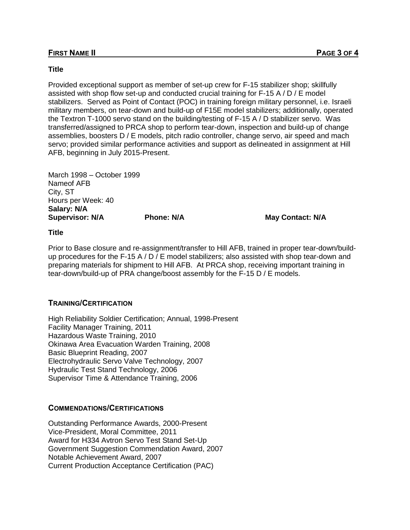### **Title**

Provided exceptional support as member of set-up crew for F-15 stabilizer shop; skillfully assisted with shop flow set-up and conducted crucial training for F-15 A / D / E model stabilizers. Served as Point of Contact (POC) in training foreign military personnel, i.e. Israeli military members, on tear-down and build-up of F15E model stabilizers; additionally, operated the Textron T-1000 servo stand on the building/testing of F-15 A / D stabilizer servo. Was transferred/assigned to PRCA shop to perform tear-down, inspection and build-up of change assemblies, boosters D / E models, pitch radio controller, change servo, air speed and mach servo; provided similar performance activities and support as delineated in assignment at Hill AFB, beginning in July 2015-Present.

March 1998 – October 1999 Nameof AFB City, ST Hours per Week: 40 **Salary: N/A Supervisor: N/A Phone: N/A Phone: N/A May Contact: N/A** 

#### **Title**

Prior to Base closure and re-assignment/transfer to Hill AFB, trained in proper tear-down/buildup procedures for the F-15 A / D / E model stabilizers; also assisted with shop tear-down and preparing materials for shipment to Hill AFB. At PRCA shop, receiving important training in tear-down/build-up of PRA change/boost assembly for the F-15 D / E models.

### **TRAINING/CERTIFICATION**

High Reliability Soldier Certification; Annual, 1998-Present Facility Manager Training, 2011 Hazardous Waste Training, 2010 Okinawa Area Evacuation Warden Training, 2008 Basic Blueprint Reading, 2007 Electrohydraulic Servo Valve Technology, 2007 Hydraulic Test Stand Technology, 2006 Supervisor Time & Attendance Training, 2006

# **COMMENDATIONS/CERTIFICATIONS**

Outstanding Performance Awards, 2000-Present Vice-President, Moral Committee, 2011 Award for H334 Avtron Servo Test Stand Set-Up Government Suggestion Commendation Award, 2007 Notable Achievement Award, 2007 Current Production Acceptance Certification (PAC)